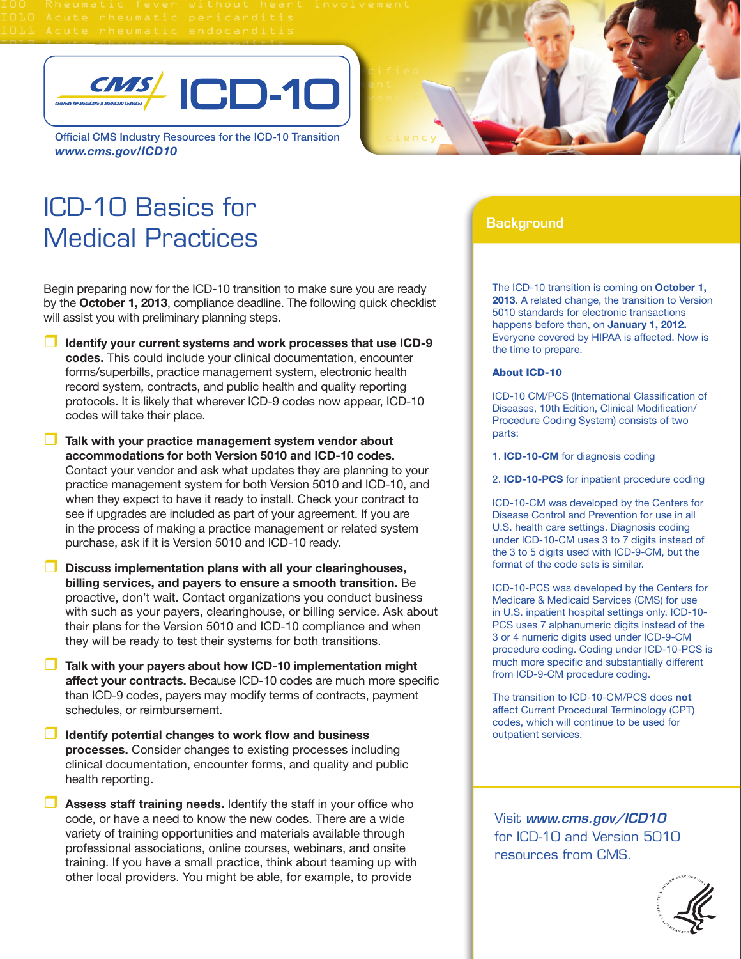

Official CMS Industry Resources for the ICD-10 Transition *www.cms.gov/ICD10*

## ICD-10 Basics for Medical Practices

Begin preparing now for the ICD-10 transition to make sure you are ready by the **October 1, 2013**, compliance deadline. The following quick checklist will assist you with preliminary planning steps.

- **Identify your current systems and work processes that use ICD-9 codes.** This could include your clinical documentation, encounter forms/superbills, practice management system, electronic health record system, contracts, and public health and quality reporting protocols. It is likely that wherever ICD-9 codes now appear, ICD-10 codes will take their place.
- **Talk with your practice management system vendor about accommodations for both Version 5010 and ICD-10 codes.** Contact your vendor and ask what updates they are planning to your practice management system for both Version 5010 and ICD-10, and when they expect to have it ready to install. Check your contract to see if upgrades are included as part of your agreement. If you are in the process of making a practice management or related system purchase, ask if it is Version 5010 and ICD-10 ready.
- **Discuss implementation plans with all your clearinghouses, billing services, and payers to ensure a smooth transition.** Be proactive, don't wait. Contact organizations you conduct business with such as your payers, clearinghouse, or billing service. Ask about their plans for the Version 5010 and ICD-10 compliance and when they will be ready to test their systems for both transitions.
- **Talk with your payers about how ICD-10 implementation might affect your contracts.** Because ICD-10 codes are much more specific than ICD-9 codes, payers may modify terms of contracts, payment schedules, or reimbursement.
- **Identify potential changes to work flow and business processes.** Consider changes to existing processes including clinical documentation, encounter forms, and quality and public health reporting.
- **Assess staff training needs.** Identify the staff in your office who code, or have a need to know the new codes. There are a wide variety of training opportunities and materials available through professional associations, online courses, webinars, and onsite training. If you have a small practice, think about teaming up with other local providers. You might be able, for example, to provide

## **Background**

The ICD-10 transition is coming on **October 1, 2013**. A related change, the transition to Version 5010 standards for electronic transactions happens before then, on **January 1, 2012.** Everyone covered by HIPAA is affected. Now is the time to prepare.

## About ICD-10

ICD-10 CM/PCS (International Classification of Diseases, 10th Edition, Clinical Modification/ Procedure Coding System) consists of two parts:

1. **ICD-10-CM** for diagnosis coding

2. **ICD-10-PCS** for inpatient procedure coding

ICD-10-CM was developed by the Centers for Disease Control and Prevention for use in all U.S. health care settings. Diagnosis coding under ICD-10-CM uses 3 to 7 digits instead of the 3 to 5 digits used with ICD-9-CM, but the format of the code sets is similar.

ICD-10-PCS was developed by the Centers for Medicare & Medicaid Services (CMS) for use in U.S. inpatient hospital settings only. ICD-10- PCS uses 7 alphanumeric digits instead of the 3 or 4 numeric digits used under ICD-9-CM procedure coding. Coding under ICD-10-PCS is much more specific and substantially different from ICD-9-CM procedure coding.

The transition to ICD-10-CM/PCS does **not** affect Current Procedural Terminology (CPT) codes, which will continue to be used for outpatient services.

Visit *www.cms.gov/ICD10* for ICD-10 and Version 5010 resources from CMS.